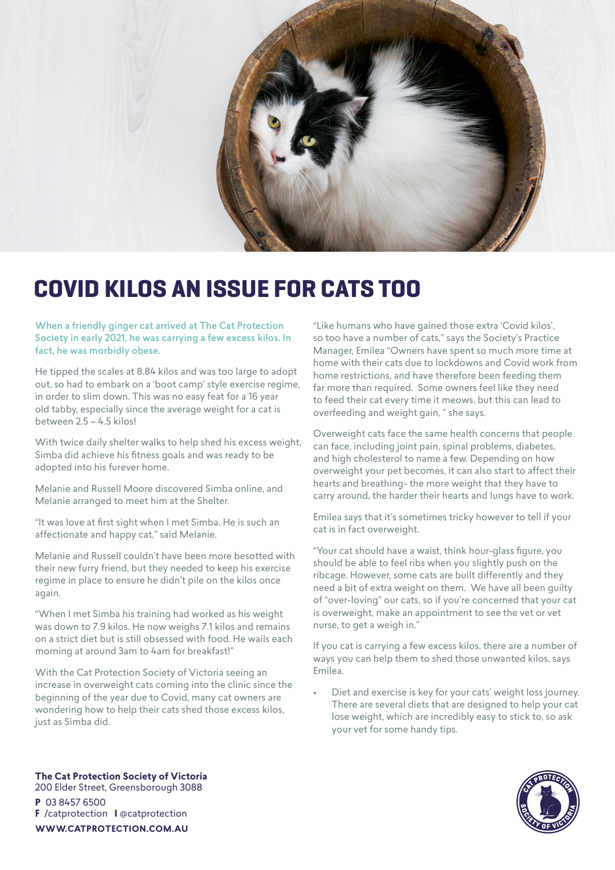

## **COVID KILOS AN ISSUE FOR CATS TOO**

When a friendly ginger cat arrived at The Cat Protection Society in early 2021, he was carrying a few excess kilos. In fact, he was morbidly obese.

He tipped the scales at 8.84 kilos and was too large to adopt out, so had to embark on a 'boot camp' style exercise regime, in order to slim down. This was no easy feat for a 16 year old tabby, especially since the average weight for a cat is between 2.5 – 4.5 kilos!

With twice daily shelter walks to help shed his excess weight, Simba did achieve his fitness goals and was ready to be adopted into his furever home.

Melanie and Russell Moore discovered Simba online, and Melanie arranged to meet him at the Shelter.

"It was love at first sight when I met Simba. He is such an affectionate and happy cat," said Melanie.

Melanie and Russell couldn't have been more besotted with their new furry friend, but they needed to keep his exercise regime in place to ensure he didn't pile on the kilos once again.

"When I met Simba his training had worked as his weight was down to 7.9 kilos. He now weighs 7.1 kilos and remains on a strict diet but is still obsessed with food. He wails each morning at around 3am to 4am for breakfast!"

With the Cat Protection Society of Victoria seeing an increase in overweight cats coming into the clinic since the beginning of the year due to Covid, many cat owners are wondering how to help their cats shed those excess kilos, just as Simba did.

"Like humans who have gained those extra 'Covid kilos', so too have a number of cats," says the Society's Practice Manager, Emilea "Owners have spent so much more time at home with their cats due to lockdowns and Covid work from home restrictions, and have therefore been feeding them far more than required. Some owners feel like they need to feed their cat every time it meows, but this can lead to overfeeding and weight gain, " she says.

Overweight cats face the same health concerns that people can face, including joint pain, spinal problems, diabetes, and high cholesterol to name a few. Depending on how overweight your pet becomes, it can also start to affect their hearts and breathing- the more weight that they have to carry around, the harder their hearts and lungs have to work.

Emilea says that it's sometimes tricky however to tell if your cat is in fact overweight.

"Your cat should have a waist, think hour-glass figure, you should be able to feel ribs when you slightly push on the ribcage. However, some cats are built differently and they need a bit of extra weight on them. We have all been guilty of "over-loving" our cats, so if you're concerned that your cat is overweight, make an appointment to see the vet or vet nurse, to get a weigh in."

If you cat is carrying a few excess kilos, there are a number of ways you can help them to shed those unwanted kilos, says Emilea.

Diet and exercise is key for your cats' weight loss journey. There are several diets that are designed to help your cat lose weight, which are incredibly easy to stick to, so ask your vet for some handy tips.



**The Cat Protection Society of Victoria** 200 Elder Street, Greensborough 3088 **P** 03 8457 6500 **F** /catprotection **I** @catprotection **WWW.CATPROTECTION.COM.AU**